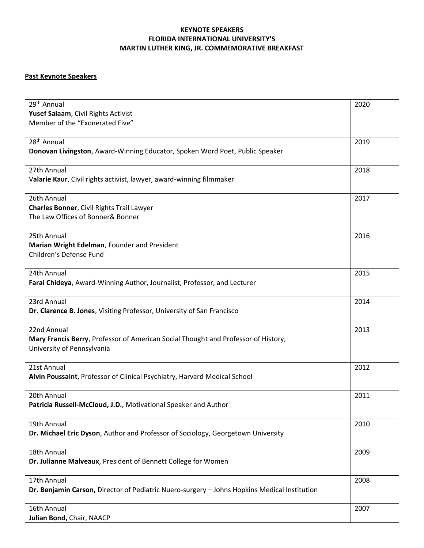## **KEYNOTE SPEAKERS FLORIDA INTERNATIONAL UNIVERSITY'S MARTIN LUTHER KING, JR. COMMEMORATIVE BREAKFAST**

## **Past Keynote Speakers**

| 29 <sup>th</sup> Annual                                                                      | 2020 |
|----------------------------------------------------------------------------------------------|------|
| Yusef Salaam, Civil Rights Activist                                                          |      |
| Member of the "Exonerated Five"                                                              |      |
|                                                                                              |      |
| 28 <sup>th</sup> Annual                                                                      | 2019 |
| Donovan Livingston, Award-Winning Educator, Spoken Word Poet, Public Speaker                 |      |
|                                                                                              |      |
| 27th Annual                                                                                  | 2018 |
| Valarie Kaur, Civil rights activist, lawyer, award-winning filmmaker                         |      |
|                                                                                              |      |
| 26th Annual                                                                                  | 2017 |
| <b>Charles Bonner, Civil Rights Trail Lawyer</b>                                             |      |
| The Law Offices of Bonner& Bonner                                                            |      |
|                                                                                              |      |
| 25th Annual                                                                                  | 2016 |
| Marian Wright Edelman, Founder and President                                                 |      |
| Children's Defense Fund                                                                      |      |
|                                                                                              |      |
| 24th Annual                                                                                  |      |
|                                                                                              | 2015 |
| Farai Chideya, Award-Winning Author, Journalist, Professor, and Lecturer                     |      |
|                                                                                              |      |
| 23rd Annual                                                                                  | 2014 |
| Dr. Clarence B. Jones, Visiting Professor, University of San Francisco                       |      |
|                                                                                              |      |
| 22nd Annual                                                                                  | 2013 |
| Mary Francis Berry, Professor of American Social Thought and Professor of History,           |      |
| University of Pennsylvania                                                                   |      |
|                                                                                              |      |
| 21st Annual                                                                                  | 2012 |
| Alvin Poussaint, Professor of Clinical Psychiatry, Harvard Medical School                    |      |
|                                                                                              |      |
| 20th Annual                                                                                  | 2011 |
| Patricia Russell-McCloud, J.D., Motivational Speaker and Author                              |      |
|                                                                                              |      |
| 19th Annual                                                                                  | 2010 |
| Dr. Michael Eric Dyson, Author and Professor of Sociology, Georgetown University             |      |
|                                                                                              |      |
| 18th Annual                                                                                  | 2009 |
| Dr. Julianne Malveaux, President of Bennett College for Women                                |      |
|                                                                                              |      |
| 17th Annual                                                                                  | 2008 |
| Dr. Benjamin Carson, Director of Pediatric Nuero-surgery - Johns Hopkins Medical Institution |      |
|                                                                                              |      |
| 16th Annual                                                                                  | 2007 |
|                                                                                              |      |
| Julian Bond, Chair, NAACP                                                                    |      |